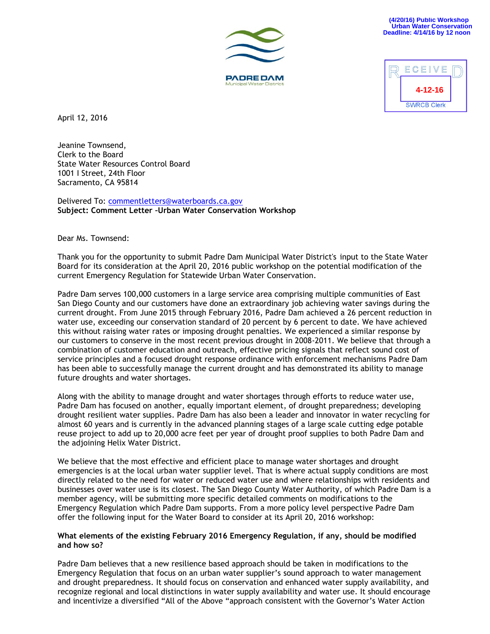**4-12-16**

ECEIVE

**SWRCB Clerk** 





Jeanine Townsend, Clerk to the Board State Water Resources Control Board 1001 I Street, 24th Floor Sacramento, CA 95814

Delivered To: [commentletters@waterboards.ca.gov](mailto:commentletters@waterboards.ca.gov) **Subject: Comment Letter –Urban Water Conservation Workshop**

Dear Ms. Townsend:

Thank you for the opportunity to submit Padre Dam Municipal Water District's input to the State Water Board for its consideration at the April 20, 2016 public workshop on the potential modification of the current Emergency Regulation for Statewide Urban Water Conservation.

Padre Dam serves 100,000 customers in a large service area comprising multiple communities of East San Diego County and our customers have done an extraordinary job achieving water savings during the current drought. From June 2015 through February 2016, Padre Dam achieved a 26 percent reduction in water use, exceeding our conservation standard of 20 percent by 6 percent to date. We have achieved this without raising water rates or imposing drought penalties. We experienced a similar response by our customers to conserve in the most recent previous drought in 2008-2011. We believe that through a combination of customer education and outreach, effective pricing signals that reflect sound cost of service principles and a focused drought response ordinance with enforcement mechanisms Padre Dam has been able to successfully manage the current drought and has demonstrated its ability to manage future droughts and water shortages.

Along with the ability to manage drought and water shortages through efforts to reduce water use, Padre Dam has focused on another, equally important element, of drought preparedness; developing drought resilient water supplies. Padre Dam has also been a leader and innovator in water recycling for almost 60 years and is currently in the advanced planning stages of a large scale cutting edge potable reuse project to add up to 20,000 acre feet per year of drought proof supplies to both Padre Dam and the adjoining Helix Water District.

We believe that the most effective and efficient place to manage water shortages and drought emergencies is at the local urban water supplier level. That is where actual supply conditions are most directly related to the need for water or reduced water use and where relationships with residents and businesses over water use is its closest. The San Diego County Water Authority, of which Padre Dam is a member agency, will be submitting more specific detailed comments on modifications to the Emergency Regulation which Padre Dam supports. From a more policy level perspective Padre Dam offer the following input for the Water Board to consider at its April 20, 2016 workshop:

## **What elements of the existing February 2016 Emergency Regulation, if any, should be modified and how so?**

Padre Dam believes that a new resilience based approach should be taken in modifications to the Emergency Regulation that focus on an urban water supplier's sound approach to water management and drought preparedness. It should focus on conservation and enhanced water supply availability, and recognize regional and local distinctions in water supply availability and water use. It should encourage and incentivize a diversified "All of the Above "approach consistent with the Governor's Water Action